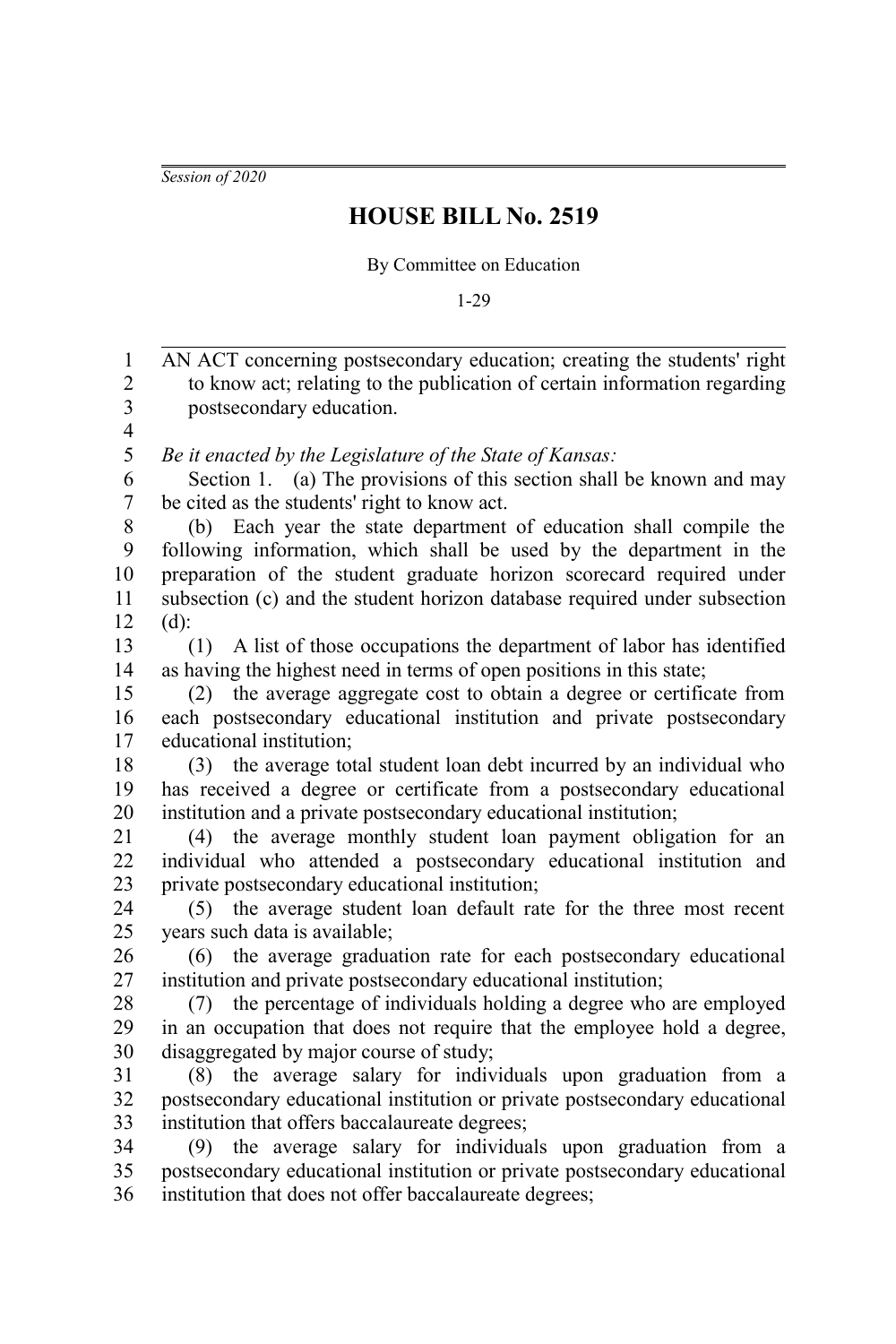*Session of 2020*

## **HOUSE BILL No. 2519**

By Committee on Education

1-29

AN ACT concerning postsecondary education; creating the students' right to know act; relating to the publication of certain information regarding postsecondary education. *Be it enacted by the Legislature of the State of Kansas:* Section 1. (a) The provisions of this section shall be known and may be cited as the students' right to know act. (b) Each year the state department of education shall compile the following information, which shall be used by the department in the preparation of the student graduate horizon scorecard required under subsection (c) and the student horizon database required under subsection  $(d)$ : (1) A list of those occupations the department of labor has identified as having the highest need in terms of open positions in this state; (2) the average aggregate cost to obtain a degree or certificate from each postsecondary educational institution and private postsecondary educational institution; (3) the average total student loan debt incurred by an individual who has received a degree or certificate from a postsecondary educational institution and a private postsecondary educational institution; (4) the average monthly student loan payment obligation for an individual who attended a postsecondary educational institution and private postsecondary educational institution; (5) the average student loan default rate for the three most recent years such data is available; (6) the average graduation rate for each postsecondary educational institution and private postsecondary educational institution; (7) the percentage of individuals holding a degree who are employed in an occupation that does not require that the employee hold a degree, disaggregated by major course of study; (8) the average salary for individuals upon graduation from a postsecondary educational institution or private postsecondary educational institution that offers baccalaureate degrees; (9) the average salary for individuals upon graduation from a postsecondary educational institution or private postsecondary educational institution that does not offer baccalaureate degrees; 1 2 3 4 5 6 7 8 9 10 11 12 13 14 15 16 17 18 19 20 21 22 23 24 25 26 27 28 29 30 31 32 33 34 35 36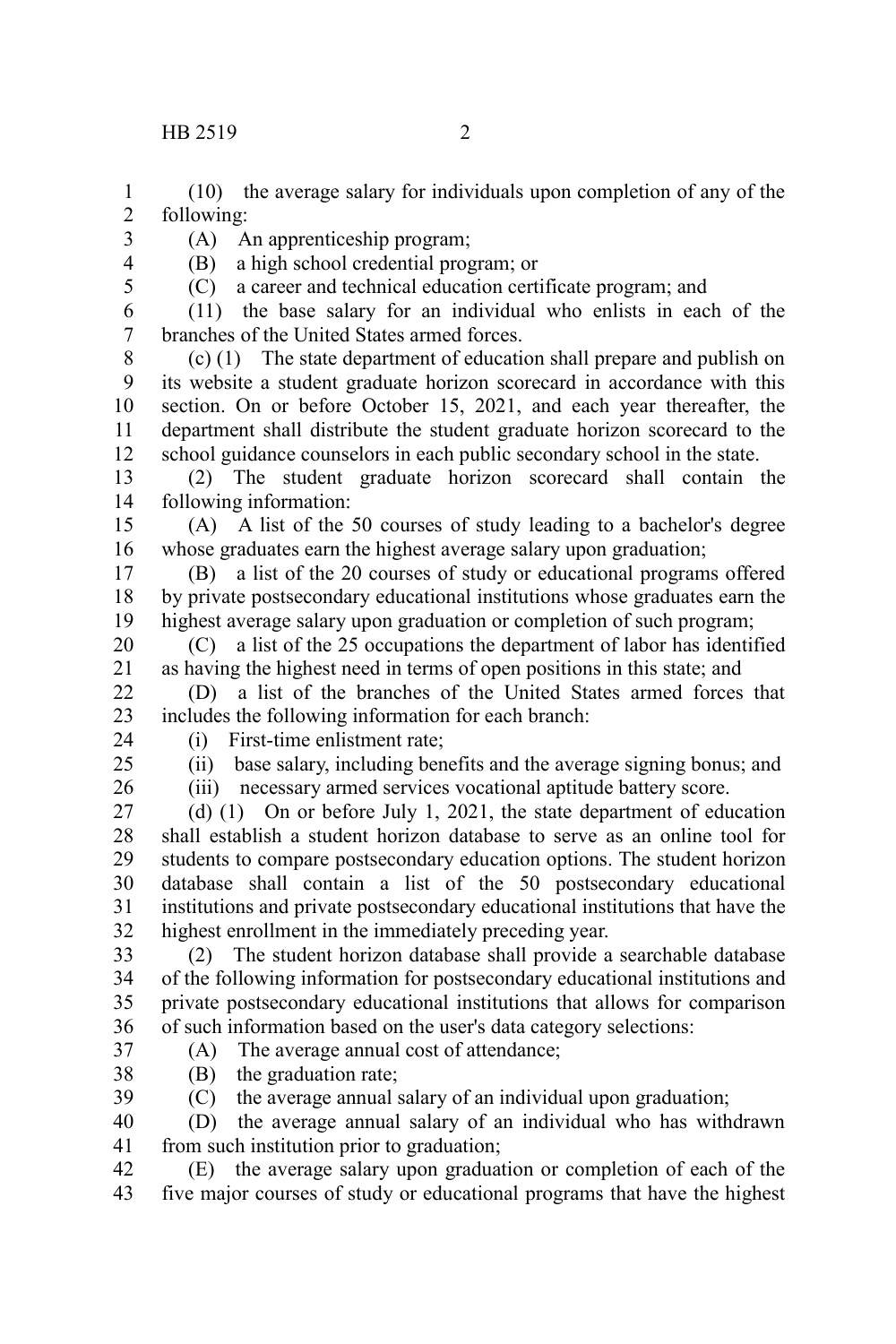(10) the average salary for individuals upon completion of any of the following: 1 2

- 3
	- (A) An apprenticeship program; (B) a high school credential program; or
- 4 5

(C) a career and technical education certificate program; and

(11) the base salary for an individual who enlists in each of the branches of the United States armed forces. 6 7

(c) (1) The state department of education shall prepare and publish on its website a student graduate horizon scorecard in accordance with this section. On or before October 15, 2021, and each year thereafter, the department shall distribute the student graduate horizon scorecard to the school guidance counselors in each public secondary school in the state. 8 9 10 11 12

(2) The student graduate horizon scorecard shall contain the following information: 13 14

(A) A list of the 50 courses of study leading to a bachelor's degree whose graduates earn the highest average salary upon graduation; 15 16

(B) a list of the 20 courses of study or educational programs offered by private postsecondary educational institutions whose graduates earn the highest average salary upon graduation or completion of such program; 17 18 19

(C) a list of the 25 occupations the department of labor has identified as having the highest need in terms of open positions in this state; and 20 21

(D) a list of the branches of the United States armed forces that includes the following information for each branch: 22 23

24

(i) First-time enlistment rate;

 $25$ 

(ii) base salary, including benefits and the average signing bonus; and

26

(iii) necessary armed services vocational aptitude battery score.

 $(d)$  (1) On or before July 1, 2021, the state department of education shall establish a student horizon database to serve as an online tool for students to compare postsecondary education options. The student horizon database shall contain a list of the 50 postsecondary educational institutions and private postsecondary educational institutions that have the highest enrollment in the immediately preceding year. 27 28 29 30 31 32

(2) The student horizon database shall provide a searchable database of the following information for postsecondary educational institutions and private postsecondary educational institutions that allows for comparison of such information based on the user's data category selections: 33 34 35 36

37 38 (A) The average annual cost of attendance;

(B) the graduation rate;

(C) the average annual salary of an individual upon graduation; 39

(D) the average annual salary of an individual who has withdrawn from such institution prior to graduation; 40 41

(E) the average salary upon graduation or completion of each of the five major courses of study or educational programs that have the highest 42 43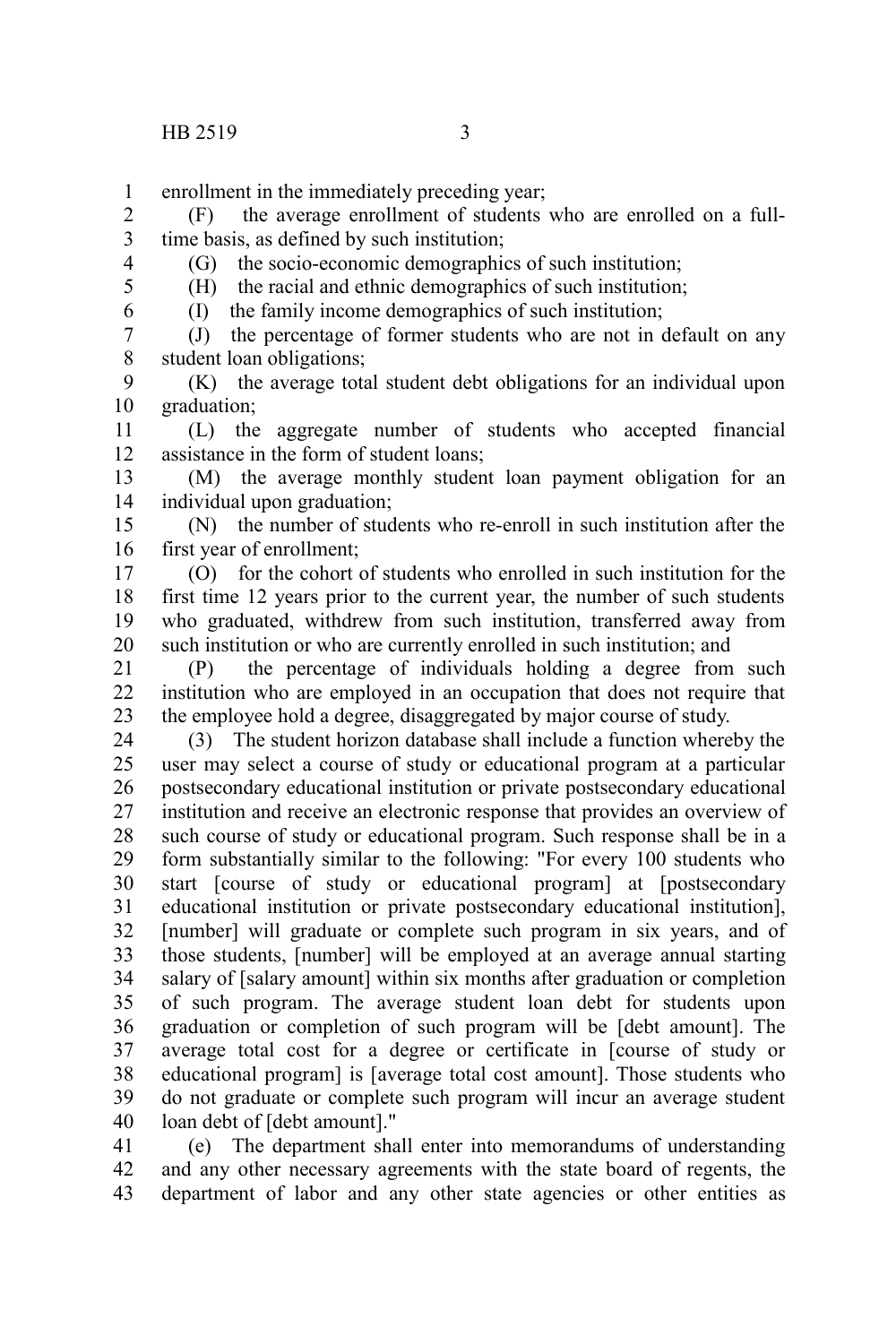enrollment in the immediately preceding year; 1

(F) the average enrollment of students who are enrolled on a fulltime basis, as defined by such institution; 2 3

4 5

(G) the socio-economic demographics of such institution;

(H) the racial and ethnic demographics of such institution; (I) the family income demographics of such institution;

6

(J) the percentage of former students who are not in default on any student loan obligations; 7 8

(K) the average total student debt obligations for an individual upon graduation; 9 10

(L) the aggregate number of students who accepted financial assistance in the form of student loans; 11 12

(M) the average monthly student loan payment obligation for an individual upon graduation; 13 14

(N) the number of students who re-enroll in such institution after the first year of enrollment; 15 16

(O) for the cohort of students who enrolled in such institution for the first time 12 years prior to the current year, the number of such students who graduated, withdrew from such institution, transferred away from such institution or who are currently enrolled in such institution; and 17 18 19 20

(P) the percentage of individuals holding a degree from such institution who are employed in an occupation that does not require that the employee hold a degree, disaggregated by major course of study. 21 22 23

(3) The student horizon database shall include a function whereby the user may select a course of study or educational program at a particular postsecondary educational institution or private postsecondary educational institution and receive an electronic response that provides an overview of such course of study or educational program. Such response shall be in a form substantially similar to the following: "For every 100 students who start [course of study or educational program] at [postsecondary educational institution or private postsecondary educational institution], [number] will graduate or complete such program in six years, and of those students, [number] will be employed at an average annual starting salary of [salary amount] within six months after graduation or completion of such program. The average student loan debt for students upon graduation or completion of such program will be [debt amount]. The average total cost for a degree or certificate in [course of study or educational program] is [average total cost amount]. Those students who do not graduate or complete such program will incur an average student loan debt of [debt amount]." 24 25 26 27 28 29 30 31 32 33 34 35 36 37 38 39 40

(e) The department shall enter into memorandums of understanding and any other necessary agreements with the state board of regents, the department of labor and any other state agencies or other entities as 41 42 43